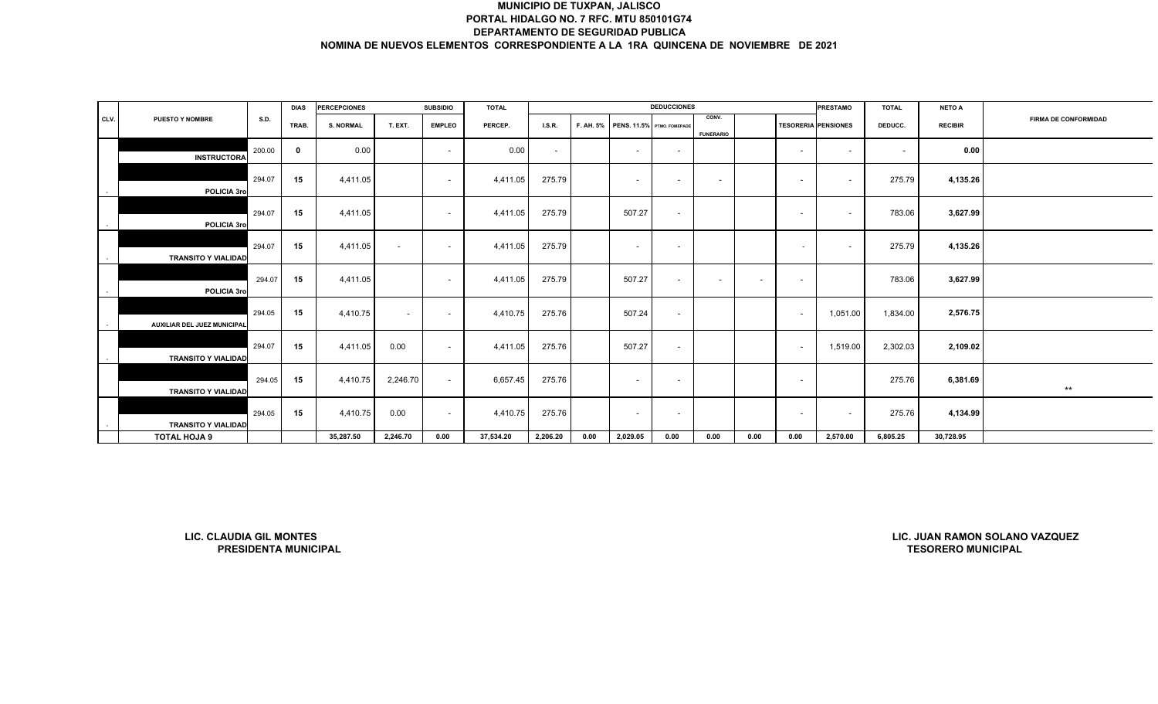|      |                                |                             | <b>DIAS</b> | <b>PERCEPCIONES</b> |                          | <b>SUBSIDIO</b>          | <b>TOTAL</b> |          |           |                            | <b>DEDUCCIONES</b>       |                           |        |                          | <b>PRESTAMO</b>            | <b>TOTAL</b>             | <b>NETO A</b>             |                                |
|------|--------------------------------|-----------------------------|-------------|---------------------|--------------------------|--------------------------|--------------|----------|-----------|----------------------------|--------------------------|---------------------------|--------|--------------------------|----------------------------|--------------------------|---------------------------|--------------------------------|
| CLV. | PUESTO Y NOMBRE                | S.D.                        | TRAB.       | <b>S. NORMAL</b>    | T. EXT.                  | <b>EMPLEO</b>            | PERCEP.      | LSR.     | F. AH. 5% | PENS. 11.5% PTMO. FOMEPADE |                          | CONV.<br><b>FUNERARIO</b> |        |                          | <b>TESORERIA PENSIONES</b> | DEDUCC.                  | <b>RECIBIR</b>            | <b>FIRMA DE CONFORMIDAD</b>    |
|      | <b>INSTRUCTORA</b>             | 200.00                      | $\mathbf 0$ | 0.00                |                          | $\sim$                   | 0.00         | $\sim$   |           | $\sim$                     | $\sim$                   |                           |        | $\overline{\phantom{a}}$ | $\sim$                     | $\overline{\phantom{a}}$ | 0.00                      |                                |
|      | POLICIA 3ro                    | 294.07                      | 15          | 4,411.05            |                          | $\overline{\phantom{a}}$ | 4,411.05     | 275.79   |           | $\sim$                     | $\overline{\phantom{a}}$ | $\overline{\phantom{a}}$  |        | $\overline{\phantom{a}}$ | $\sim$                     | 275.79                   | 4,135.26                  |                                |
|      | POLICIA 3ro                    | 294.07                      | 15          | 4,411.05            |                          | $\overline{\phantom{a}}$ | 4,411.05     | 275.79   |           | 507.27                     | $\sim$                   |                           |        | $\overline{\phantom{a}}$ | $\sim$                     | 783.06                   | 3,627.99                  |                                |
|      | <b>TRANSITO Y VIALIDAD</b>     | 294.07                      | 15          | 4,411.05            | $\overline{\phantom{a}}$ | $\overline{\phantom{a}}$ | 4,411.05     | 275.79   |           | $\sim$                     | $\sim$                   |                           |        | $\overline{\phantom{a}}$ | $\sim$                     | 275.79                   | 4,135.26                  |                                |
|      | POLICIA 3ro                    | 294.07                      | 15          | 4,411.05            |                          | $\sim$                   | 4,411.05     | 275.79   |           | 507.27                     | $\sim$                   | $\overline{\phantom{a}}$  | $\sim$ | $\overline{\phantom{a}}$ |                            | 783.06                   | 3,627.99                  |                                |
|      | AUXILIAR DEL JUEZ MUNICIPAL    | 294.05                      | 15          | 4,410.75            | $\sim$                   | $\overline{\phantom{a}}$ | 4,410.75     | 275.76   |           | 507.24                     | $\sim$                   |                           |        | $\sim$                   | 1,051.00                   | 1,834.00                 | 2,576.75                  |                                |
|      | <b>TRANSITO Y VIALIDAD</b>     | 294.07                      | 15          | 4,411.05            | 0.00                     | $\sim$                   | 4,411.05     | 275.76   |           | 507.27                     | $\sim$                   |                           |        | $\overline{\phantom{a}}$ | 1,519.00                   | 2,302.03                 | 2,109.02                  |                                |
|      | <b>TRANSITO Y VIALIDAD</b>     | 294.05                      | 15          | 4,410.75            | 2,246.70                 | $\sim$                   | 6,657.45     | 275.76   |           | $\sim$                     | $\sim$                   |                           |        | $\overline{\phantom{a}}$ |                            | 275.76                   | 6,381.69                  | $***$                          |
|      | <b>TRANSITO Y VIALIDAD</b>     | 294.05                      | 15          | 4,410.75            | 0.00                     | $\overline{\phantom{a}}$ | 4,410.75     | 275.76   |           | $\sim$                     | $\overline{\phantom{a}}$ |                           |        | $\overline{\phantom{a}}$ | $\sim$                     | 275.76                   | 4,134.99                  |                                |
|      | TOTAL HOJA 9                   |                             |             | 35,287.50           | 2,246.70                 | 0.00                     | 37,534.20    | 2,206.20 | 0.00      | 2,029.05                   | 0.00                     | 0.00                      | 0.00   | 0.00                     | 2,570.00                   | 6,805.25                 | 30,728.95                 |                                |
|      |                                |                             |             |                     |                          |                          |              |          |           |                            |                          |                           |        |                          |                            |                          |                           |                                |
|      | <b>LIC. CLAUDIA GIL MONTES</b> | <b>PRESIDENTA MUNICIPAL</b> |             |                     |                          |                          |              |          |           |                            |                          |                           |        |                          |                            |                          | <b>TESORERO MUNICIPAL</b> | LIC. JUAN RAMON SOLANO VAZQUEZ |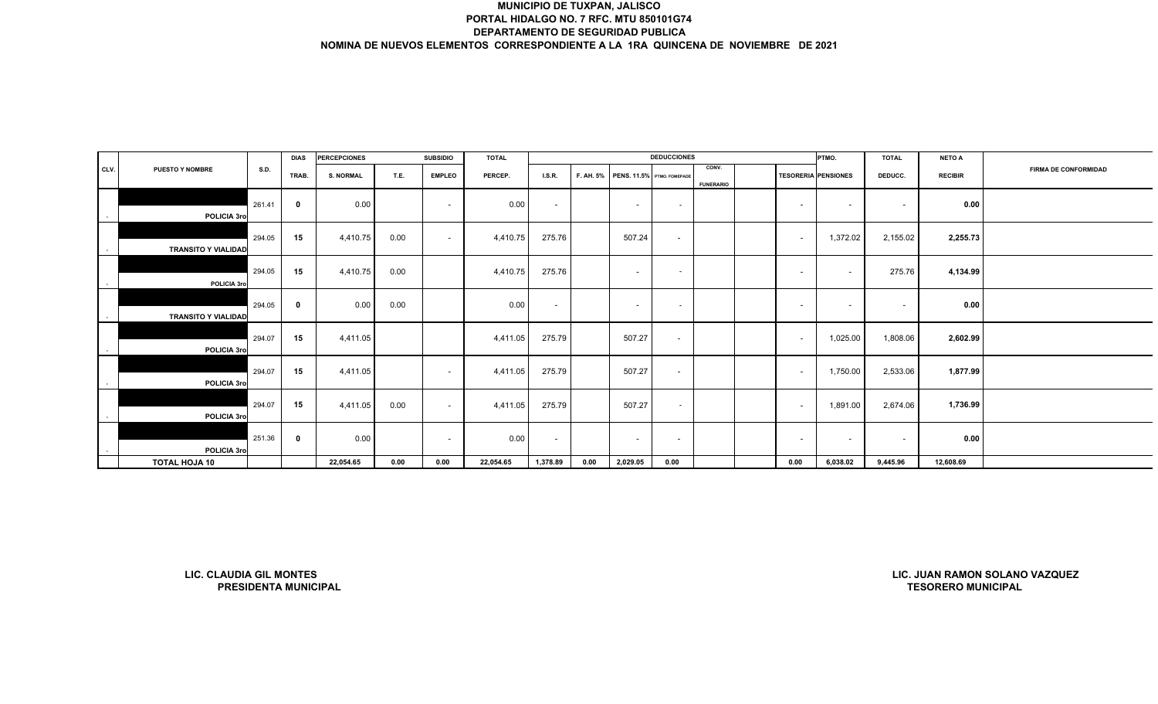|        |                                |                      | <b>DIAS</b> | <b>PERCEPCIONES</b> |      | <b>SUBSIDIO</b> | <b>TOTAL</b> |                          |           |                            | <b>DEDUCCIONES</b> |                           |                            | PTMO.    | <b>TOTAL</b>             | <b>NETO A</b>             |                                |
|--------|--------------------------------|----------------------|-------------|---------------------|------|-----------------|--------------|--------------------------|-----------|----------------------------|--------------------|---------------------------|----------------------------|----------|--------------------------|---------------------------|--------------------------------|
| CLV.   | <b>PUESTO Y NOMBRE</b>         | S.D.                 | TRAB.       | <b>S. NORMAL</b>    | T.E. | <b>EMPLEO</b>   | PERCEP.      | I.S.R.                   | F. AH. 5% | PENS. 11.5% PTMO. FOMEPADE |                    | CONV.<br><b>FUNERARIO</b> | <b>TESORERIA PENSIONES</b> |          | DEDUCC.                  | <b>RECIBIR</b>            | FIRMA DE CONFORMIDAD           |
| $\sim$ | POLICIA 3ro                    | 261.41               | 0           | 0.00                |      | $\sim$          | 0.00         | $\sim$                   |           | $\sim$                     | $\sim$             |                           | $\sim$                     | $\sim$   | $\overline{\phantom{0}}$ | 0.00                      |                                |
|        | <b>TRANSITO Y VIALIDAD</b>     | 294.05               | 15          | 4,410.75            | 0.00 | $\sim$          | 4,410.75     | 275.76                   |           | 507.24                     | $\sim$             |                           | $\sim$                     | 1,372.02 | 2,155.02                 | 2,255.73                  |                                |
|        | POLICIA 3ro                    | 294.05               | 15          | 4,410.75            | 0.00 |                 | 4,410.75     | 275.76                   |           | $\sim$                     | $\sim$             |                           | $\overline{\phantom{a}}$   | $\sim$   | 275.76                   | 4,134.99                  |                                |
|        | <b>TRANSITO Y VIALIDAD</b>     | 294.05               | 0           | 0.00                | 0.00 |                 | 0.00         | $\overline{\phantom{a}}$ |           | $\sim$                     | $\sim$             |                           | $\sim$                     | $\sim$   | $\overline{\phantom{a}}$ | 0.00                      |                                |
| $\sim$ | POLICIA 3ro                    | 294.07               | 15          | 4,411.05            |      |                 | 4,411.05     | 275.79                   |           | 507.27                     | $\sim$             |                           | $\overline{\phantom{a}}$   | 1,025.00 | 1,808.06                 | 2,602.99                  |                                |
|        | POLICIA 3ro                    | 294.07               | 15          | 4,411.05            |      | $\sim$          | 4,411.05     | 275.79                   |           | 507.27                     | $\sim$             |                           | $\overline{\phantom{a}}$   | 1,750.00 | 2,533.06                 | 1,877.99                  |                                |
|        | POLICIA 3ro                    | 294.07               | 15          | 4,411.05            | 0.00 | $\sim$          | 4,411.05     | 275.79                   |           | 507.27                     | $\sim$             |                           | $\sim$                     | 1,891.00 | 2,674.06                 | 1,736.99                  |                                |
|        | POLICIA 3ro                    | 251.36               | $\mathbf 0$ | 0.00                |      | $\sim$          | 0.00         | $\sim$                   |           | $\sim$                     | $\sim$             |                           | $\sim$                     | $\sim$   | $\sim$                   | 0.00                      |                                |
|        | <b>TOTAL HOJA 10</b>           |                      |             | 22,054.65           | 0.00 | 0.00            | 22,054.65    | 1,378.89                 | 0.00      | 2,029.05                   | 0.00               |                           | 0.00                       | 6,038.02 | 9,445.96                 | 12,608.69                 |                                |
|        |                                |                      |             |                     |      |                 |              |                          |           |                            |                    |                           |                            |          |                          |                           |                                |
|        | <b>LIC. CLAUDIA GIL MONTES</b> | PRESIDENTA MUNICIPAL |             |                     |      |                 |              |                          |           |                            |                    |                           |                            |          |                          | <b>TESORERO MUNICIPAL</b> | LIC. JUAN RAMON SOLANO VAZQUEZ |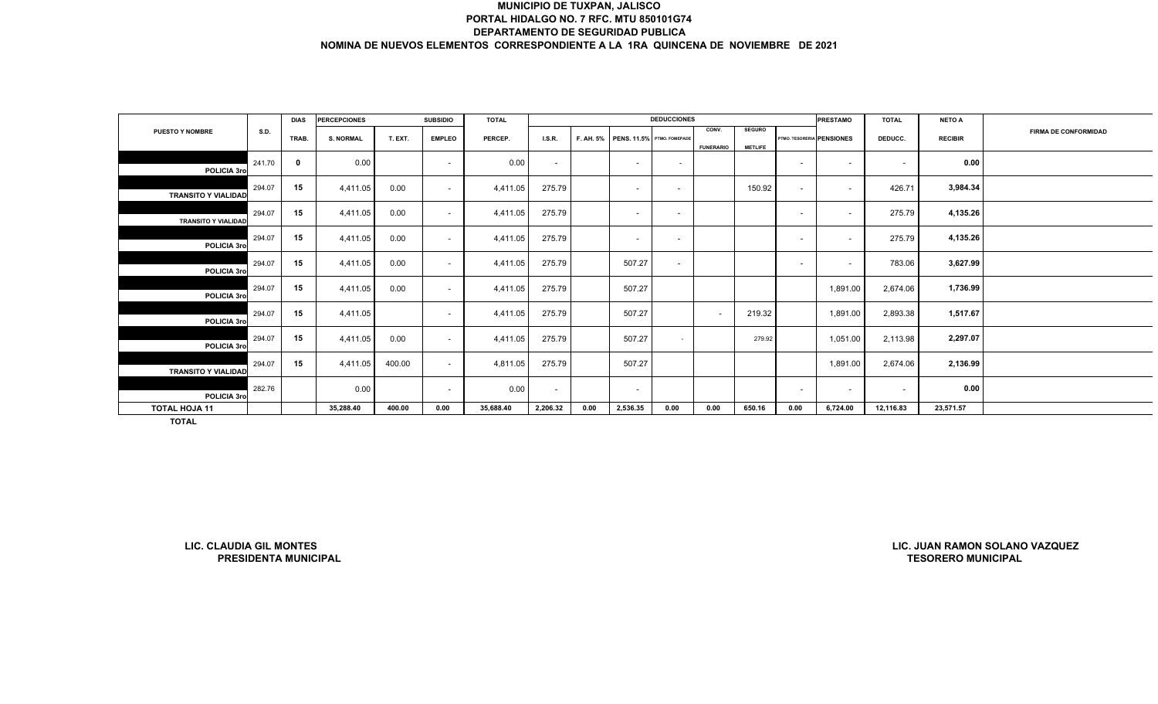|                            |        | <b>DIAS</b> | <b>PERCEPCIONES</b> |         | <b>SUBSIDIO</b> | <b>TOTAL</b> |               |      |                                      | <b>DEDUCCIONES</b>       |                           |                                 |                           | <b>PRESTAMO</b>          | <b>TOTAL</b> | <b>NETO A</b>  |                             |
|----------------------------|--------|-------------|---------------------|---------|-----------------|--------------|---------------|------|--------------------------------------|--------------------------|---------------------------|---------------------------------|---------------------------|--------------------------|--------------|----------------|-----------------------------|
| <b>PUESTO Y NOMBRE</b>     | S.D.   | TRAB.       | <b>S. NORMAL</b>    | T. EXT. | <b>EMPLEO</b>   | PERCEP.      | <b>I.S.R.</b> |      | F. AH. 5% PENS. 11.5% PTMO. FOMEPADE |                          | CONV.<br><b>FUNERARIO</b> | <b>SEGURO</b><br><b>METLIFE</b> | PTMO. TESORERIA PENSIONES |                          | DEDUCC.      | <b>RECIBIR</b> | <b>FIRMA DE CONFORMIDAD</b> |
| POLICIA 3ro                | 241.70 | $\mathbf 0$ | 0.00                |         | $\sim$          | 0.00         | $\sim$        |      | $\overline{\phantom{a}}$             | $\overline{\phantom{a}}$ |                           |                                 | $\overline{\phantom{a}}$  | $\overline{\phantom{a}}$ | $\sim$       | 0.00           |                             |
| <b>TRANSITO Y VIALIDAD</b> | 294.07 | 15          | 4,411.05            | 0.00    | $\sim$          | 4,411.05     | 275.79        |      | $\overline{\phantom{0}}$             | $\overline{\phantom{0}}$ |                           | 150.92                          | $\overline{\phantom{a}}$  | $\overline{\phantom{a}}$ | 426.71       | 3,984.34       |                             |
| <b>TRANSITO Y VIALIDAD</b> | 294.07 | 15          | 4,411.05            | 0.00    | $\sim$          | 4,411.05     | 275.79        |      | $\overline{\phantom{a}}$             |                          |                           |                                 | $\overline{\phantom{a}}$  | $\overline{\phantom{a}}$ | 275.79       | 4,135.26       |                             |
| POLICIA 3ro                | 294.07 | 15          | 4,411.05            | 0.00    | $\sim$          | 4,411.05     | 275.79        |      | $\overline{\phantom{a}}$             | $\overline{\phantom{a}}$ |                           |                                 | $\overline{\phantom{a}}$  | $\overline{\phantom{a}}$ | 275.79       | 4,135.26       |                             |
| POLICIA 3ro                | 294.07 | 15          | 4,411.05            | 0.00    | $\sim$          | 4,411.05     | 275.79        |      | 507.27                               | $\overline{\phantom{a}}$ |                           |                                 | $\overline{\phantom{a}}$  | $\overline{\phantom{a}}$ | 783.06       | 3,627.99       |                             |
| POLICIA 3ro                | 294.07 | 15          | 4,411.05            | 0.00    | $\sim$          | 4,411.05     | 275.79        |      | 507.27                               |                          |                           |                                 |                           | 1,891.00                 | 2,674.06     | 1,736.99       |                             |
| POLICIA 3ro                | 294.07 | 15          | 4,411.05            |         | $\sim$          | 4,411.05     | 275.79        |      | 507.27                               |                          | $\sim$                    | 219.32                          |                           | 1,891.00                 | 2,893.38     | 1,517.67       |                             |
| POLICIA 3ro                | 294.07 | 15          | 4,411.05            | 0.00    | $\sim$          | 4,411.05     | 275.79        |      | 507.27                               | $\overline{\phantom{a}}$ |                           | 279.92                          |                           | 1,051.00                 | 2,113.98     | 2,297.07       |                             |
| <b>TRANSITO Y VIALIDAD</b> | 294.07 | 15          | 4,411.05            | 400.00  | $\sim$          | 4,811.05     | 275.79        |      | 507.27                               |                          |                           |                                 |                           | 1,891.00                 | 2,674.06     | 2,136.99       |                             |
| POLICIA 3ro                | 282.76 |             | 0.00                |         | $\sim$          | 0.00         | $\sim$        |      | $\overline{\phantom{a}}$             |                          |                           |                                 | $\overline{\phantom{a}}$  | $\overline{\phantom{a}}$ | $\sim$       | 0.00           |                             |
| <b>TOTAL HOJA 11</b>       |        |             | 35,288.40           | 400.00  | 0.00            | 35,688.40    | 2,206.32      | 0.00 | 2,536.35                             | 0.00                     | 0.00                      | 650.16                          | 0.00                      | 6,724.00                 | 12,116.83    | 23,571.57      |                             |
| TOTAL                      |        |             |                     |         |                 |              |               |      |                                      |                          |                           |                                 |                           |                          |              |                |                             |

**LIC. CLAUDIA GIL MONTESPRESIDENTA MUNICIPAL**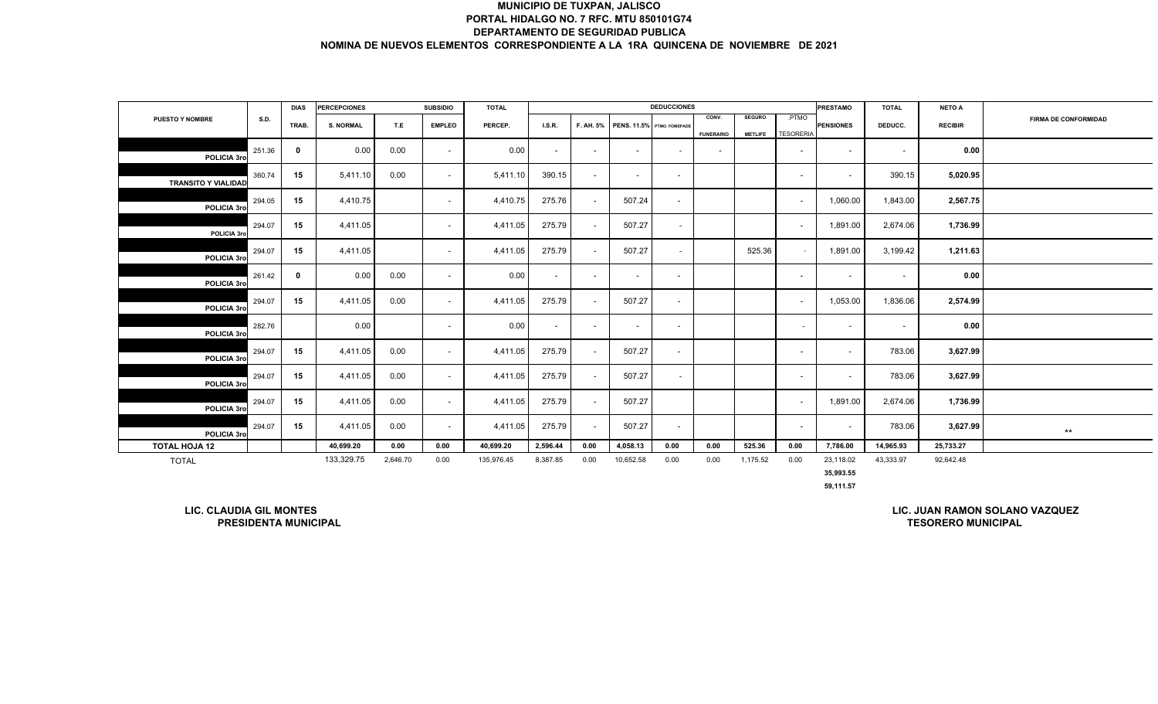|                                |             |             |                     |          |                          |              |          |                          |                          | <b>DEDUCCIONES</b>         |                          |                |                          |                  |                          |                |                                |
|--------------------------------|-------------|-------------|---------------------|----------|--------------------------|--------------|----------|--------------------------|--------------------------|----------------------------|--------------------------|----------------|--------------------------|------------------|--------------------------|----------------|--------------------------------|
| PUESTO Y NOMBRE                | <b>S.D.</b> | <b>DIAS</b> | <b>PERCEPCIONES</b> |          | <b>SUBSIDIO</b>          | <b>TOTAL</b> |          |                          |                          |                            | CONV.                    | <b>SEGURO</b>  | PTMO                     | <b>PRESTAMO</b>  | <b>TOTAL</b>             | <b>NETO A</b>  |                                |
|                                |             | TRAB.       | <b>S. NORMAL</b>    | T.E      | <b>EMPLEO</b>            | PERCEP.      | I.S.R.   | F. AH. 5%                |                          | PENS. 11.5% PTMO. FOMEPADE |                          |                |                          | <b>PENSIONES</b> | DEDUCC.                  | <b>RECIBIR</b> | <b>FIRMA DE CONFORMIDAD</b>    |
|                                |             |             |                     |          |                          |              |          |                          |                          |                            | <b>FUNERARIO</b>         | <b>METLIFE</b> | <b>TESORERIA</b>         |                  |                          |                |                                |
| POLICIA 3ro                    | 251.36      | $\mathbf 0$ | 0.00                | 0.00     | $\sim$                   | 0.00         | $\sim$   | $\overline{\phantom{a}}$ | $\overline{\phantom{a}}$ | $\sim$                     | $\overline{\phantom{a}}$ |                | $\overline{\phantom{a}}$ | $\sim$           | $\overline{\phantom{a}}$ | 0.00           |                                |
|                                |             |             |                     |          |                          |              |          |                          |                          |                            |                          |                |                          |                  |                          |                |                                |
| <b>TRANSITO Y VIALIDAD</b>     | 360.74      | 15          | 5,411.10            | 0.00     | $\sim$                   | 5,411.10     | 390.15   | $\sim$                   | $\overline{\phantom{a}}$ | $\sim$                     |                          |                | $\overline{\phantom{a}}$ | $\sim$           | 390.15                   | 5,020.95       |                                |
| POLICIA 3ro                    | 294.05      | 15          | 4,410.75            |          | $\sim$                   | 4,410.75     | 275.76   | $\sim$                   | 507.24                   | $\sim$                     |                          |                | $\overline{\phantom{a}}$ | 1,060.00         | 1,843.00                 | 2,567.75       |                                |
|                                |             |             |                     |          |                          |              |          |                          |                          |                            |                          |                |                          |                  |                          |                |                                |
| POLICIA 3ro                    | 294.07      | 15          | 4,411.05            |          | $\sim$                   | 4,411.05     | 275.79   | $\overline{\phantom{a}}$ | 507.27                   | $\sim$                     |                          |                | $\sim$                   | 1,891.00         | 2,674.06                 | 1,736.99       |                                |
|                                | 294.07      | 15          | 4,411.05            |          | $\sim$                   | 4,411.05     | 275.79   | $\overline{\phantom{a}}$ | 507.27                   | $\sim$                     |                          | 525.36         | $\overline{\phantom{a}}$ | 1,891.00         | 3,199.42                 | 1,211.63       |                                |
| POLICIA 3ro                    |             |             |                     |          |                          |              |          |                          |                          |                            |                          |                |                          |                  |                          |                |                                |
| POLICIA 3ro                    | 261.42      | $\mathbf 0$ | 0.00                | 0.00     | $\sim$                   | 0.00         | $\sim$   | $\sim$                   | $\overline{\phantom{a}}$ | $\sim$                     |                          |                | $\sim$                   | $\sim$           | $\overline{\phantom{a}}$ | 0.00           |                                |
|                                | 294.07      |             |                     |          |                          |              |          |                          |                          |                            |                          |                |                          |                  |                          |                |                                |
| POLICIA 3ro                    |             | 15          | 4,411.05            | 0.00     | $\sim$                   | 4,411.05     | 275.79   | $\overline{\phantom{a}}$ | 507.27                   | $\sim$                     |                          |                | $\overline{\phantom{a}}$ | 1,053.00         | 1,836.06                 | 2,574.99       |                                |
|                                | 282.76      |             | 0.00                |          | $\sim$                   | 0.00         | $\sim$   | $\overline{\phantom{a}}$ | $\overline{\phantom{a}}$ | $\overline{\phantom{a}}$   |                          |                | $\sim$                   | $\sim$           | $\overline{\phantom{a}}$ | 0.00           |                                |
| POLICIA 3ro                    |             |             |                     |          |                          |              |          |                          |                          |                            |                          |                |                          |                  |                          |                |                                |
| POLICIA 3ro                    | 294.07      | 15          | 4,411.05            | 0.00     | $\overline{\phantom{a}}$ | 4,411.05     | 275.79   | $\overline{\phantom{a}}$ | 507.27                   | $\sim$                     |                          |                | $\overline{\phantom{a}}$ | $\sim$           | 783.06                   | 3,627.99       |                                |
|                                |             |             |                     |          |                          |              |          |                          |                          |                            |                          |                |                          |                  |                          |                |                                |
| POLICIA 3ro                    | 294.07      | 15          | 4,411.05            | 0.00     | $\sim$                   | 4,411.05     | 275.79   | $\sim$                   | 507.27                   | $\sim$                     |                          |                | $\overline{\phantom{a}}$ | $\sim$           | 783.06                   | 3,627.99       |                                |
|                                | 294.07      | 15          | 4,411.05            | 0.00     | $\sim$                   | 4,411.05     | 275.79   | $\overline{\phantom{a}}$ | 507.27                   |                            |                          |                | $\overline{\phantom{a}}$ | 1,891.00         | 2,674.06                 | 1,736.99       |                                |
| POLICIA 3ro                    |             |             |                     |          |                          |              |          |                          |                          |                            |                          |                |                          |                  |                          |                |                                |
| POLICIA 3ro                    | 294.07      | 15          | 4,411.05            | 0.00     | $\sim$                   | 4,411.05     | 275.79   | $\sim$                   | 507.27                   | $\sim$                     |                          |                | $\overline{\phantom{a}}$ | $\sim$           | 783.06                   | 3,627.99       | $\star\star$                   |
| <b>TOTAL HOJA 12</b>           |             |             | 40,699.20           | 0.00     | 0.00                     | 40,699.20    | 2,596.44 | 0.00                     | 4,058.13                 | 0.00                       | 0.00                     | 525.36         | 0.00                     | 7,786.00         | 14,965.93                | 25,733.27      |                                |
| <b>TOTAL</b>                   |             |             | 133,329.75          | 2,646.70 | 0.00                     | 135,976.45   | 8,387.85 | 0.00                     | 10,652.58                | 0.00                       | 0.00                     | 1,175.52       | 0.00                     | 23,118.02        | 43,333.97                | 92,642.48      |                                |
|                                |             |             |                     |          |                          |              |          |                          |                          |                            |                          |                |                          | 35,993.55        |                          |                |                                |
|                                |             |             |                     |          |                          |              |          |                          |                          |                            |                          |                |                          | 59,111.57        |                          |                |                                |
|                                |             |             |                     |          |                          |              |          |                          |                          |                            |                          |                |                          |                  |                          |                |                                |
| <b>LIC. CLAUDIA GIL MONTES</b> |             |             |                     |          |                          |              |          |                          |                          |                            |                          |                |                          |                  |                          |                | LIC. JUAN RAMON SOLANO VAZQUEZ |

**LIC. CLAUDIA GIL MONTESPRESIDENTA MUNICIPAL**

**TESORERO MUNICIPALLIC. JUAN RAMON SOLANO VAZQUEZ**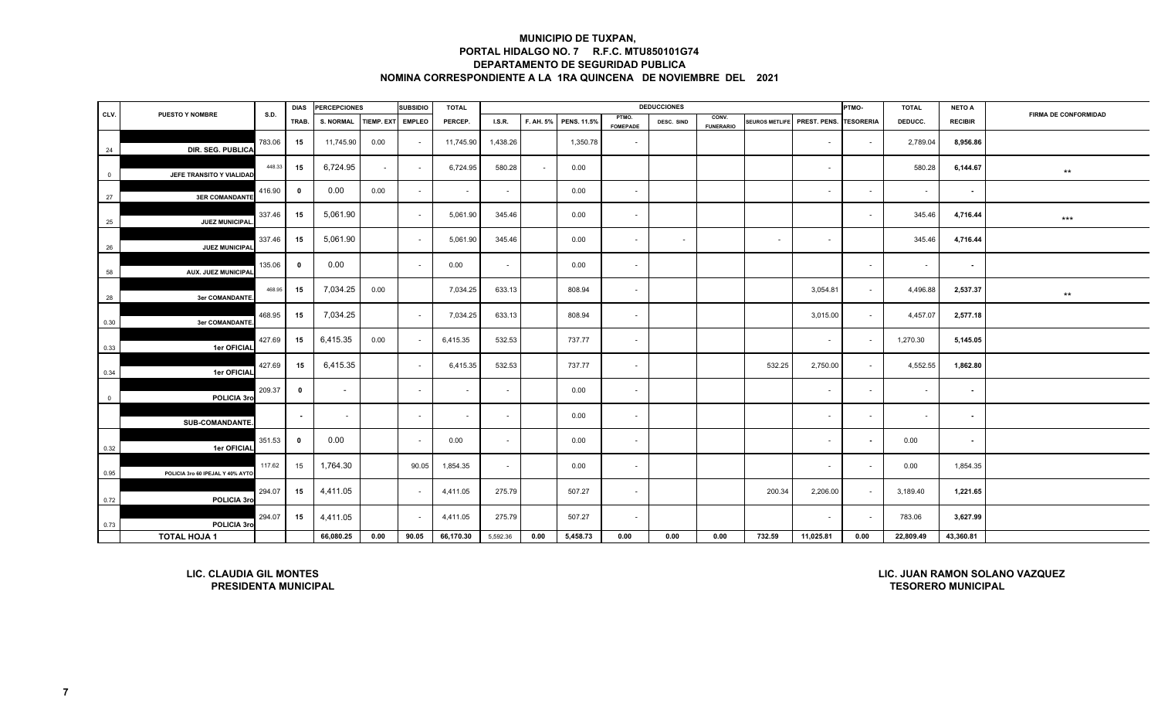|                |                                                               |        | <b>DIAS</b>             | <b>PERCEPCIONES</b>  |        | <b>SUBSIDIO</b> | <b>TOTAL</b> |          |           |                    |                          | <b>DEDUCCIONES</b> |                           |                       |              | PTMO-            | <b>TOTAL</b>              | <b>NETO A</b>  |                                |
|----------------|---------------------------------------------------------------|--------|-------------------------|----------------------|--------|-----------------|--------------|----------|-----------|--------------------|--------------------------|--------------------|---------------------------|-----------------------|--------------|------------------|---------------------------|----------------|--------------------------------|
| CLV.           | <b>PUESTO Y NOMBRE</b>                                        | S.D.   | TRAB.                   | S. NORMAL TIEMP. EXT |        | <b>EMPLEO</b>   | PERCEP.      | I.S.R.   | F. AH. 5% | <b>PENS. 11.5%</b> | PTMO.<br><b>FOMEPADE</b> | DESC. SIND         | CONV.<br><b>FUNERARIO</b> | <b>SEUROS METLIFE</b> | PREST. PENS. | <b>TESORERIA</b> | DEDUCC.                   | <b>RECIBIR</b> | <b>FIRMA DE CONFORMIDAD</b>    |
| 24             | DIR. SEG. PUBLICA                                             | 783.06 | 15                      | 11,745.90            | 0.00   | $\sim$          | 11,745.90    | 1,438.26 |           | 1,350.78           | $\sim$                   |                    |                           |                       | $\sim$       | $\sim$           | 2,789.04                  | 8,956.86       |                                |
| $\overline{0}$ | JEFE TRANSITO Y VIALIDAD                                      | 448.33 | 15                      | 6,724.95             | $\sim$ | $\sim$          | 6,724.95     | 580.28   | $\sim$    | 0.00               |                          |                    |                           |                       | $\sim$       |                  | 580.28                    | 6,144.67       | $***$                          |
| 27             | <b>3ER COMANDANTE</b>                                         | 416.90 | $\bf{0}$                | 0.00                 | 0.00   |                 | $\sim$       | $\sim$   |           | 0.00               | $\sim$                   |                    |                           |                       | $\sim$       | $\sim$           | $\sim$                    | $\blacksquare$ |                                |
| 25             | JUEZ MUNICIPAL                                                | 337.46 | 15                      | 5,061.90             |        | $\sim$          | 5,061.90     | 345.46   |           | 0.00               | $\sim$                   |                    |                           |                       |              | $\sim$           | 345.46                    | 4,716.44       | $***$                          |
| 26             | JUEZ MUNICIPAL                                                | 337.46 | 15                      | 5,061.90             |        | $\sim$          | 5,061.90     | 345.46   |           | 0.00               | $\sim$                   | $\sim$             |                           | $\sim$                | $\sim$       |                  | 345.46                    | 4,716.44       |                                |
| 58             | <b>AUX. JUEZ MUNICIPAL</b>                                    | 135.06 | $\overline{\mathbf{0}}$ | 0.00                 |        | $\sim$          | 0.00         | $\sim$   |           | 0.00               | $\sim$                   |                    |                           |                       |              | $\sim$           | $\sim$                    | $\sim$         |                                |
| 28             | <b>3er COMANDANTE</b>                                         | 468.95 | 15                      | 7,034.25             | 0.00   |                 | 7,034.25     | 633.13   |           | 808.94             | $\sim$                   |                    |                           |                       | 3,054.81     | $\sim$           | 4,496.88                  | 2,537.37       | $***$                          |
| 0.30           | <b>3er COMANDANTE</b>                                         | 468.95 | 15                      | 7,034.25             |        | $\sim$          | 7,034.25     | 633.13   |           | 808.94             | $\sim$                   |                    |                           |                       | 3,015.00     | $\sim$           | 4,457.07                  | 2,577.18       |                                |
| 0.33           | 1er OFICIAL                                                   | 427.69 | 15                      | 6,415.35             | 0.00   |                 | 6,415.35     | 532.53   |           | 737.77             | $\sim$                   |                    |                           |                       | $\sim$       | $\sim$           | 1,270.30                  | 5,145.05       |                                |
| 0.34           | 1er OFICIAL                                                   | 427.69 | 15                      | 6,415.35             |        | $\sim$          | 6,415.35     | 532.53   |           | 737.77             | $\sim$                   |                    |                           | 532.25                | 2,750.00     | $\sim$           | 4,552.55                  | 1,862.80       |                                |
| $\overline{0}$ | POLICIA 3ro                                                   | 209.37 | $\mathbf 0$             | $\sim$               |        | $\sim$          | $\sim$       | $\sim$   |           | 0.00               | $\sim$                   |                    |                           |                       | $\sim$       | $\sim$           | $\sim$                    | $\sim$         |                                |
|                | <b>SUB-COMANDANTE</b>                                         |        |                         | $\sim$               |        | $\sim$          | $\sim$       | $\sim$   |           | 0.00               | $\sim$                   |                    |                           |                       | $\sim$       | $\sim$           | $\sim$                    | $\sim$         |                                |
| 0.32           | 1er OFICIAL                                                   | 351.53 | $\bf{0}$                | 0.00                 |        | $\sim$          | 0.00         | $\sim$   |           | 0.00               | $\sim$                   |                    |                           |                       | $\sim$       | $\sim$           | 0.00                      | $\sim$         |                                |
| 0.95           | POLICIA 3ro 60 IPEJAL Y 40% AYTO                              | 117.62 | 15                      | 1,764.30             |        | 90.05           | 1,854.35     | $\sim$   |           | 0.00               | $\sim$                   |                    |                           |                       | $\sim$       | $\sim$           | 0.00                      | 1,854.35       |                                |
| 0.72           | POLICIA 3ro                                                   | 294.07 | 15                      | 4,411.05             |        |                 | 4,411.05     | 275.79   |           | 507.27             | $\sim$                   |                    |                           | 200.34                | 2,206.00     | $\sim$           | 3,189.40                  | 1,221.65       |                                |
| 0.73           | POLICIA 3ro                                                   | 294.07 | 15                      | 4,411.05             |        |                 | 4,411.05     | 275.79   |           | 507.27             | $\sim$                   |                    |                           |                       | $\sim$       | $\blacksquare$   | 783.06                    | 3,627.99       |                                |
|                | <b>TOTAL HOJA 1</b>                                           |        |                         | 66,080.25            | 0.00   | 90.05           | 66,170.30    | 5,592.36 | 0.00      | 5,458.73           | 0.00                     | 0.00               | 0.00                      | 732.59                | 11,025.81    | 0.00             | 22,809.49                 | 43,360.81      |                                |
|                | <b>LIC. CLAUDIA GIL MONTES</b><br><b>PRESIDENTA MUNICIPAL</b> |        |                         |                      |        |                 |              |          |           |                    |                          |                    |                           |                       |              |                  | <b>TESORERO MUNICIPAL</b> |                | LIC. JUAN RAMON SOLANO VAZQUEZ |

**LIC. CLAUDIA GIL MONTESPRESIDENTA MUNICIPAL** **LIC. JUAN RAMON SOLANO VAZQUEZ**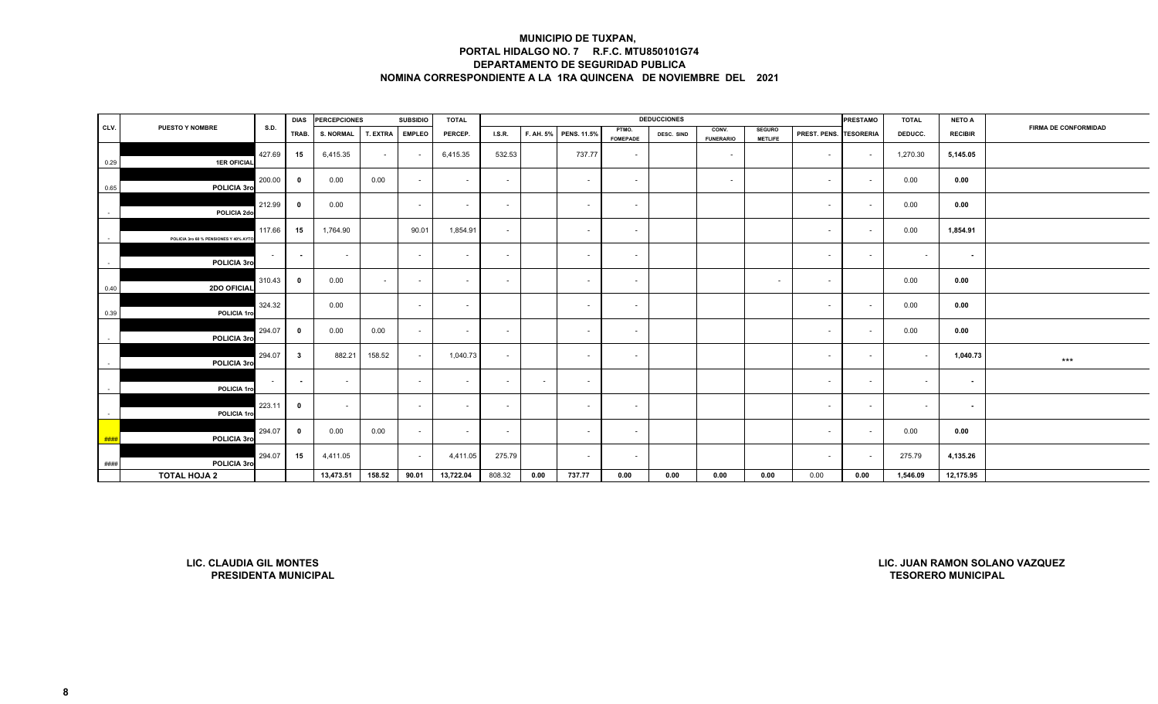|      |                                        |             |                         | DIAS PERCEPCIONES |          | <b>SUBSIDIO</b> | <b>TOTAL</b> |        |        |                       |                          | <b>DEDUCCIONES</b> |                           |                                 |                        | <b>PRESTAMO</b>          | <b>TOTAL</b> | <b>NETO A</b>  |                      |
|------|----------------------------------------|-------------|-------------------------|-------------------|----------|-----------------|--------------|--------|--------|-----------------------|--------------------------|--------------------|---------------------------|---------------------------------|------------------------|--------------------------|--------------|----------------|----------------------|
| CLV. | <b>PUESTO Y NOMBRE</b>                 | <b>S.D.</b> | TRAB.                   | <b>S. NORMAL</b>  | T. EXTRA | <b>EMPLEO</b>   | PERCEP.      | I.S.R. |        | F. AH. 5% PENS. 11.5% | PTMO.<br><b>FOMEPADE</b> | DESC. SIND         | CONV.<br><b>FUNERARIO</b> | <b>SEGURO</b><br><b>METLIFE</b> | PREST. PENS. TESORERIA |                          | DEDUCC.      | <b>RECIBIR</b> | FIRMA DE CONFORMIDAD |
| 0.29 | <b>1ER OFICIAL</b>                     | 427.69      | 15                      | 6,415.35          | $\sim$   |                 | 6,415.35     | 532.53 |        | 737.77                | $\sim$                   |                    | $\sim$                    |                                 | $\sim$ $-$             | $\sim$                   | 1,270.30     | 5,145.05       |                      |
| 0.65 | POLICIA 3ro                            | 200.00      | $\overline{\mathbf{0}}$ | 0.00              | 0.00     |                 | $\sim$       | $\sim$ |        | $\sim$                | $\sim$                   |                    | $\sim$                    |                                 | $\sim$                 | $\sim$                   | 0.00         | 0.00           |                      |
|      | POLICIA 2do                            | 212.99      | $\bf{0}$                | 0.00              |          | $\sim$          | $\sim$       | $\sim$ |        | $\sim$                | $\sim$                   |                    |                           |                                 | $\sim$                 | $\sim$                   | 0.00         | 0.00           |                      |
|      | POLICIA 3ro 60 % PENSIONES Y 40% AYTO. | 117.66      | 15                      | 1,764.90          |          | 90.01           | 1,854.91     | $\sim$ |        | $\sim$                | $\sim$                   |                    |                           |                                 | $\sim$                 | $\sim$                   | 0.00         | 1,854.91       |                      |
|      | POLICIA 3ro                            | $\sim$ $-$  | $\sim$                  | $\sim$            |          | $\sim$          | $\sim$       | $\sim$ |        | $\sim$                | $\sim$                   |                    |                           |                                 | $\sim$                 | $\sim$                   | $\sim$       | $\sim$         |                      |
| 0.40 | 2DO OFICIAL                            | 310.43      | $\mathbf{0}$            | 0.00              | $\sim$   | $\sim$          | $\sim$       | $\sim$ |        | $\sim$                | $\sim$                   |                    |                           | $\sim$                          | $\sim$                 |                          | 0.00         | 0.00           |                      |
| 0.39 | POLICIA 1ro                            | 324.32      |                         | 0.00              |          | $\sim$          | $\sim$       |        |        | $\sim$                | $\sim$                   |                    |                           |                                 | $\sim$                 | $\overline{\phantom{a}}$ | 0.00         | 0.00           |                      |
|      | POLICIA 3ro                            | 294.07      | $\mathbf{0}$            | 0.00              | 0.00     | $\sim$          | $\sim$       | $\sim$ |        | $\sim$                | $\sim$                   |                    |                           |                                 | $\sim$                 | $\sim$                   | 0.00         | 0.00           |                      |
|      | POLICIA 3ro                            | 294.07      | $\overline{\mathbf{3}}$ | 882.21            | 158.52   | $\sim$          | 1,040.73     | $\sim$ |        | $\sim$                | $\sim$                   |                    |                           |                                 | $\sim$                 | $\sim$                   | $\sim$       | 1,040.73       | $***$                |
|      | POLICIA 1ro                            | $\sim 100$  | $\sim$                  | $\sim$            |          | $\sim$          | $\sim$       | $\sim$ | $\sim$ | $\sim$                |                          |                    |                           |                                 | $\sim$                 | $\sim$                   | $\sim$       | $\sim$         |                      |
|      | POLICIA 1ro                            | 223.11      | $\bf{0}$                | $\sim$            |          | $\sim$          | $\sim$       | $\sim$ |        | $\sim$                | $\sim$                   |                    |                           |                                 | $\sim$                 | $\sim$                   | $\sim$       | $\sim$         |                      |
| ###  | POLICIA 3ro                            | 294.07      | $\overline{\mathbf{0}}$ | 0.00              | 0.00     | $\sim$          | $\sim$       | $\sim$ |        | $\sim$                | $\sim$                   |                    |                           |                                 | $\sim$                 | $\sim$                   | 0.00         | 0.00           |                      |
| #### | POLICIA 3ro                            | 294.07      | 15                      | 4,411.05          |          | $\sim$          | 4,411.05     | 275.79 |        | $\sim$                | $\sim$                   |                    |                           |                                 | $\sim$                 | $\sim$                   | 275.79       | 4,135.26       |                      |
|      | <b>TOTAL HOJA 2</b>                    |             |                         | 13,473.51         | 158.52   | 90.01           | 13,722.04    | 808.32 | 0.00   | 737.77                | 0.00                     | 0.00               | 0.00                      | 0.00                            | 0.00                   | 0.00                     | 1,546.09     | 12,175.95      |                      |

**LIC. CLAUDIA GIL MONTESPRESIDENTA MUNICIPAL**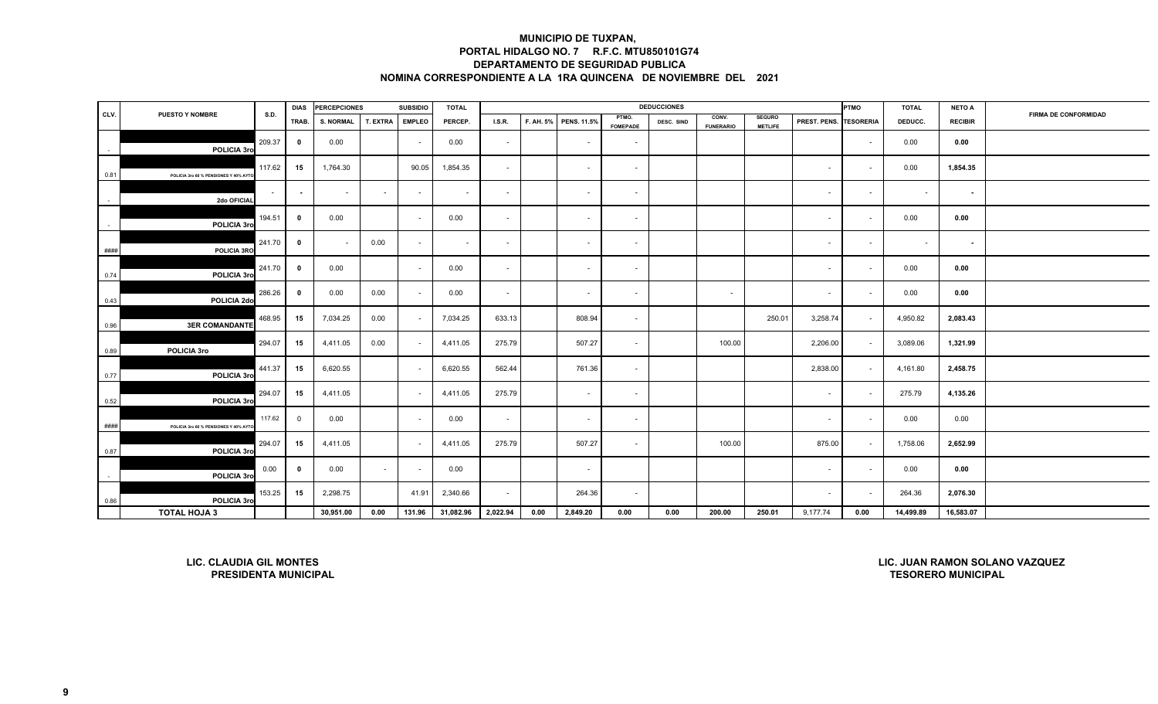|               |                                                               |        | <b>DIAS</b>             | <b>PERCEPCIONES</b> |          | <b>SUBSIDIO</b> | <b>TOTAL</b> |               |      |                       |                          | <b>DEDUCCIONES</b> |                           |                                 |              | PTMO                    | <b>TOTAL</b>              | <b>NETO A</b>  |                                |
|---------------|---------------------------------------------------------------|--------|-------------------------|---------------------|----------|-----------------|--------------|---------------|------|-----------------------|--------------------------|--------------------|---------------------------|---------------------------------|--------------|-------------------------|---------------------------|----------------|--------------------------------|
| CLV.          | <b>PUESTO Y NOMBRE</b>                                        | S.D.   | TRAB.                   | <b>S. NORMAL</b>    | T. EXTRA | <b>EMPLEO</b>   | PERCEP.      | <b>I.S.R.</b> |      | F. AH. 5% PENS. 11.5% | PTMO.<br><b>FOMEPADE</b> | DESC. SIND         | CONV.<br><b>FUNERARIO</b> | <b>SEGURO</b><br><b>METLIFE</b> | PREST. PENS. | <b><i>TESORERIA</i></b> | DEDUCC.                   | <b>RECIBIR</b> | <b>FIRMA DE CONFORMIDAD</b>    |
| $\sim$        | POLICIA 3ro                                                   | 209.37 | $\overline{\mathbf{0}}$ | 0.00                |          | $\sim$          | 0.00         | $\sim$        |      | $\sim$                | $\sim$                   |                    |                           |                                 |              | $\sim$                  | 0.00                      | 0.00           |                                |
| 0.81          | POLICIA 3ro 60 % PENSIONES Y 40% AYT                          | 117.62 | 15                      | 1,764.30            |          | 90.05           | 1,854.35     | $\sim$        |      | $\sim$                | $\sim$                   |                    |                           |                                 | $\sim$       | $\sim$                  | 0.00                      | 1,854.35       |                                |
| $\sim$        | 2do OFICIAL                                                   | $\sim$ | $\blacksquare$          | $\sim$              | $\sim$   | $\sim$          | $\sim$       | $\sim$        |      | $\sim$                | $\sim$                   |                    |                           |                                 | $\sim$       | $\sim$                  | $\sim$                    | $\sim$         |                                |
| $\sim$        | POLICIA 3ro                                                   | 194.51 | 0                       | 0.00                |          | $\sim$          | 0.00         | $\sim$        |      | $\sim$                | $\sim$                   |                    |                           |                                 | $\sim$       | $\sim$                  | 0.00                      | 0.00           |                                |
| $\# \# \# \#$ | POLICIA 3RO                                                   | 241.70 | $\overline{\mathbf{0}}$ |                     | 0.00     | $\sim$          | $\sim$       | $\sim$        |      | $\sim$                | $\sim$                   |                    |                           |                                 | $\sim$       | $\sim$                  | $\sim$                    | $\sim$         |                                |
| 0.74          | POLICIA 3ro                                                   | 241.70 | $\bf{0}$                | 0.00                |          | $\sim$          | 0.00         | $\sim$        |      | ٠                     | $\sim$                   |                    |                           |                                 | $\sim$       | $\sim$                  | 0.00                      | 0.00           |                                |
| 0.43          | POLICIA 2do                                                   | 286.26 | $\mathbf{0}$            | 0.00                | 0.00     |                 | 0.00         | $\sim$        |      | $\sim$                | $\sim$                   |                    | $\sim$                    |                                 | $\sim$       | $\sim$                  | 0.00                      | 0.00           |                                |
| 0.96          | <b>3ER COMANDANTE</b>                                         | 468.95 | 15                      | 7,034.25            | 0.00     | $\sim$          | 7,034.25     | 633.13        |      | 808.94                | $\sim$                   |                    |                           | 250.01                          | 3,258.74     | $\sim$                  | 4,950.82                  | 2,083.43       |                                |
| 0.89          | POLICIA 3ro                                                   | 294.07 | 15                      | 4,411.05            | 0.00     | $\sim$          | 4,411.05     | 275.79        |      | 507.27                | $\sim$                   |                    | 100.00                    |                                 | 2,206.00     | $\sim$                  | 3,089.06                  | 1,321.99       |                                |
| 0.77          | POLICIA 3ro                                                   | 441.37 | 15                      | 6,620.55            |          |                 | 6,620.55     | 562.44        |      | 761.36                | $\sim$                   |                    |                           |                                 | 2,838.00     | $\sim$                  | 4,161.80                  | 2,458.75       |                                |
| 0.52          | POLICIA 3ro                                                   | 294.07 | 15                      | 4,411.05            |          | $\sim$          | 4,411.05     | 275.79        |      | $\sim$                | $\sim$                   |                    |                           |                                 | $\sim$       | $\sim$                  | 275.79                    | 4,135.26       |                                |
| ####          | POLICIA 3ro 60 % PENSIONES Y 40% AYT                          | 117.62 | $\mathbf 0$             | 0.00                |          | $\sim$          | 0.00         | $\sim$        |      | $\sim$                | $\sim$                   |                    |                           |                                 | $\sim$       | $\sim$                  | 0.00                      | 0.00           |                                |
| 0.87          | POLICIA 3ro                                                   | 294.07 | 15                      | 4,411.05            |          | $\sim$          | 4,411.05     | 275.79        |      | 507.27                | $\sim$                   |                    | 100.00                    |                                 | 875.00       | $\sim$                  | 1,758.06                  | 2,652.99       |                                |
| $\sim$        | POLICIA 3ro                                                   | 0.00   | $\bf{0}$                | 0.00                |          |                 | 0.00         |               |      |                       |                          |                    |                           |                                 | $\sim$       | $\sim$                  | 0.00                      | 0.00           |                                |
| 0.86          | POLICIA 3ro                                                   | 153.25 | 15                      | 2,298.75            |          | 41.91           | 2,340.66     | $\sim$        |      | 264.36                | $\overline{\phantom{a}}$ |                    |                           |                                 | $\sim$       | $\sim$                  | 264.36                    | 2,076.30       |                                |
|               | <b>TOTAL HOJA 3</b>                                           |        |                         | 30,951.00           | 0.00     | 131.96          | 31,082.96    | 2,022.94      | 0.00 | 2,849.20              | 0.00                     | 0.00               | 200.00                    | 250.01                          | 9,177.74     | 0.00                    | 14,499.89                 | 16,583.07      |                                |
|               | <b>LIC. CLAUDIA GIL MONTES</b><br><b>PRESIDENTA MUNICIPAL</b> |        |                         |                     |          |                 |              |               |      |                       |                          |                    |                           |                                 |              |                         | <b>TESORERO MUNICIPAL</b> |                | LIC. JUAN RAMON SOLANO VAZQUEZ |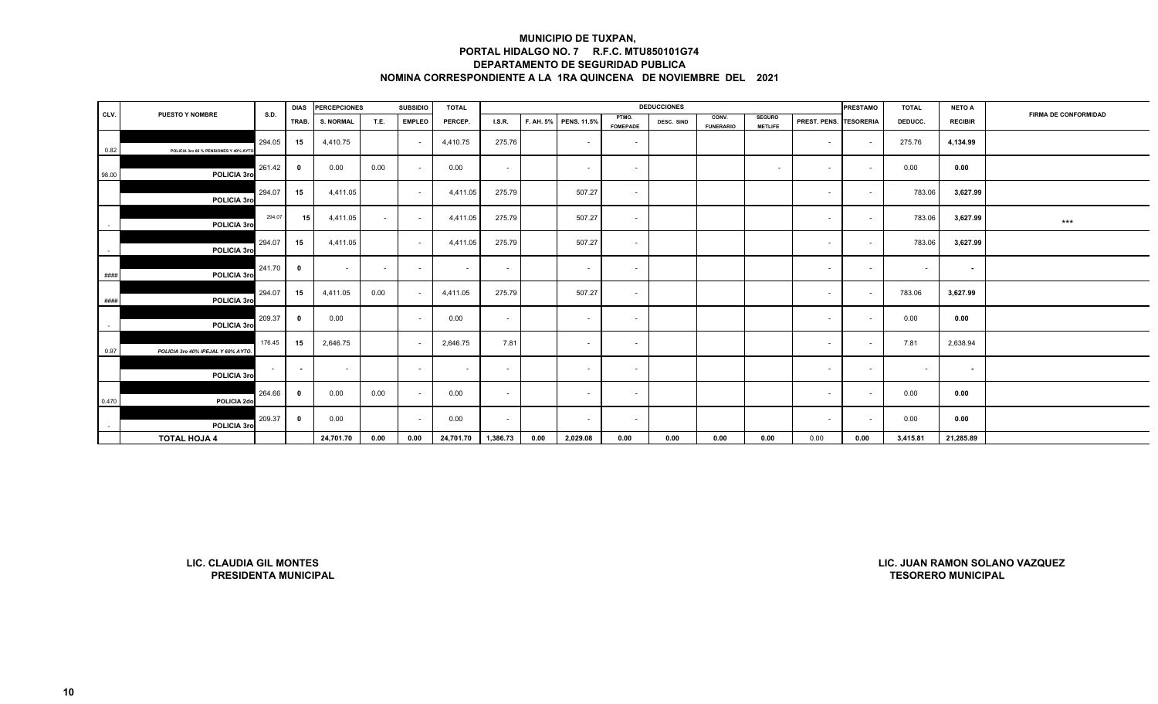|            |                                      |        | <b>DIAS</b>              | <b>PERCEPCIONES</b> |        | <b>SUBSIDIO</b> | <b>TOTAL</b> |          |      |                       |                          | <b>DEDUCCIONES</b> |                           |                                 |                               | <b>PRESTAMO</b> | <b>TOTAL</b> | <b>NETO A</b>  |                             |
|------------|--------------------------------------|--------|--------------------------|---------------------|--------|-----------------|--------------|----------|------|-----------------------|--------------------------|--------------------|---------------------------|---------------------------------|-------------------------------|-----------------|--------------|----------------|-----------------------------|
| CLV.       | <b>PUESTO Y NOMBRE</b>               | S.D.   | TRAB.                    | <b>S. NORMAL</b>    | T.E.   | <b>EMPLEO</b>   | PERCEP.      | LS.R.    |      | F. AH. 5% PENS. 11.5% | PTMO.<br><b>FOMEPADE</b> | DESC. SIND         | CONV.<br><b>FUNERARIO</b> | <b>SEGURO</b><br><b>METLIFE</b> | <b>PREST. PENS. TESORERIA</b> |                 | DEDUCC.      | <b>RECIBIR</b> | <b>FIRMA DE CONFORMIDAD</b> |
| 0.82       | POLICIA 3ro 60 % PENSIONES Y 40% AYT | 294.05 | 15                       | 4,410.75            |        |                 | 4,410.75     | 275.76   |      | $\sim$                | $\sim$                   |                    |                           |                                 | $\sim$                        | $\sim$          | 275.76       | 4,134.99       |                             |
| 98.00      | POLICIA 3ro                          | 261.42 | - 0                      | 0.00                | 0.00   |                 | 0.00         | $\sim$   |      | $\sim$                | $\sim$                   |                    |                           | $\sim$                          | $\sim$                        | $\sim$          | 0.00         | 0.00           |                             |
|            | POLICIA 3ro                          | 294.07 | 15                       | 4,411.05            |        | $\sim$          | 4,411.05     | 275.79   |      | 507.27                | $\sim$                   |                    |                           |                                 | $\sim$                        | $\sim$          | 783.06       | 3,627.99       |                             |
| $\sim$     | POLICIA 3ro                          | 294.07 | 15                       | 4,411.05            | $\sim$ | $\sim$          | 4,411.05     | 275.79   |      | 507.27                | $\sim$                   |                    |                           |                                 | $\sim$                        | $\sim$          | 783.06       | 3,627.99       | $***$                       |
| $\sim$     | POLICIA 3ro                          | 294.07 | 15                       | 4,411.05            |        | $\sim$          | 4,411.05     | 275.79   |      | 507.27                | $\sim$                   |                    |                           |                                 | $\sim$                        | $\sim$          | 783.06       | 3,627.99       |                             |
| ####       | POLICIA 3ro                          | 241.70 | 0                        | $\sim$              | $\sim$ | $\sim$          | $\sim$       | $\sim$   |      | $\sim$                | $\sim$                   |                    |                           |                                 | $\sim$                        | $\sim$          | $\sim$       | $\sim$         |                             |
| ####       | POLICIA 3ro                          | 294.07 | 15                       | 4,411.05            | 0.00   |                 | 4,411.05     | 275.79   |      | 507.27                | $\sim$                   |                    |                           |                                 | $\sim$                        | $\sim$          | 783.06       | 3,627.99       |                             |
| $\sim$ $-$ | POLICIA 3ro                          | 209.37 | 0                        | 0.00                |        | $\sim$          | 0.00         | $\sim$   |      | $\sim$                | $\sim$                   |                    |                           |                                 | $\sim$                        | $\sim$          | 0.00         | 0.00           |                             |
| 0.97       | POLICIA 3ro 40% IPEJAL Y 60% AYTO.   | 176.45 | 15                       | 2,646.75            |        | $\sim$          | 2,646.75     | 7.81     |      | $\sim$                | $\sim$                   |                    |                           |                                 | $\sim$                        | $\sim$          | 7.81         | 2,638.94       |                             |
|            | POLICIA 3ro                          | $\sim$ | $\overline{\phantom{a}}$ | $\sim$              |        | $\sim$          | $\sim$       | $\sim$   |      | $\sim$                | $\sim$                   |                    |                           |                                 | $\sim$                        | $\sim$          | $\sim$       | $\sim$         |                             |
| 0.470      | POLICIA 2do                          | 264.66 | 0                        | 0.00                | 0.00   | $\sim$          | 0.00         | $\sim$   |      | $\sim$                | $\sim$                   |                    |                           |                                 | $\sim$                        | $\sim$          | 0.00         | 0.00           |                             |
| $\sim$     | POLICIA 3ro                          | 209.37 | 0                        | 0.00                |        |                 | 0.00         | $\sim$   |      | $\sim$                | $\sim$                   |                    |                           |                                 | $\sim$                        |                 | 0.00         | 0.00           |                             |
|            | <b>TOTAL HOJA 4</b>                  |        |                          | 24,701.70           | 0.00   | 0.00            | 24,701.70    | 1,386.73 | 0.00 | 2,029.08              | 0.00                     | 0.00               | 0.00                      | 0.00                            | 0.00                          | 0.00            | 3,415.81     | 21,285.89      |                             |

**LIC. CLAUDIA GIL MONTESPRESIDENTA MUNICIPAL**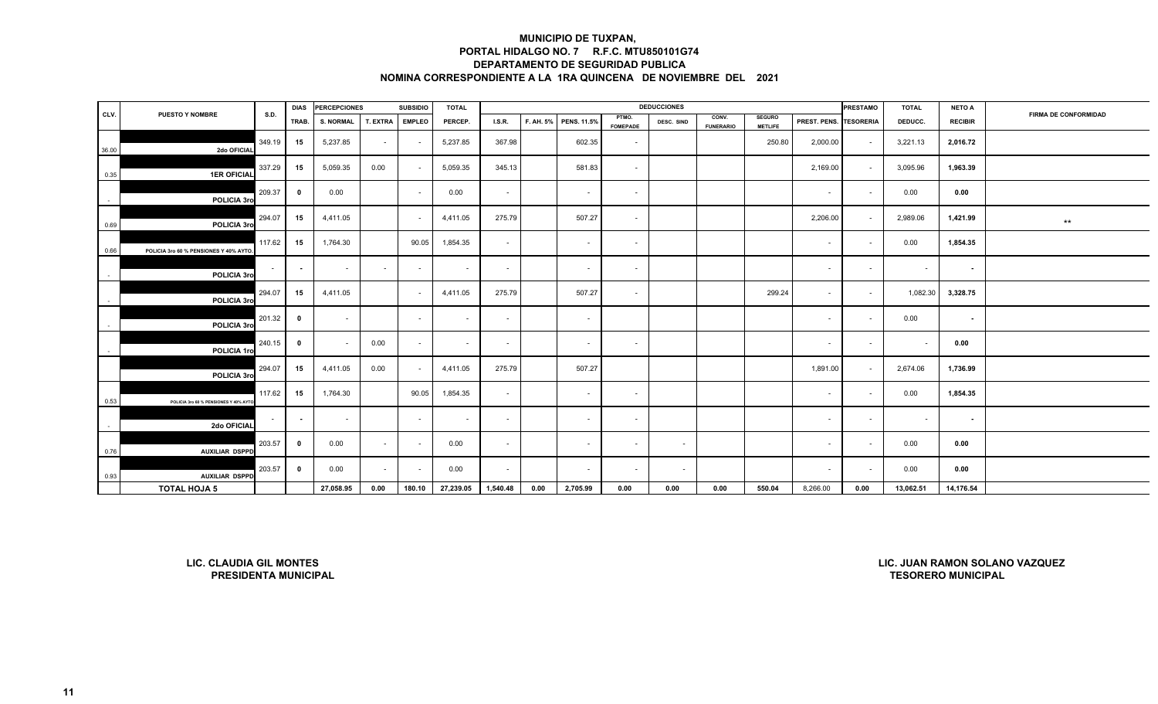|                          |                                        |        | <b>DIAS</b>    | <b>PERCEPCIONES</b> |          | <b>SUBSIDIO</b> | <b>TOTAL</b> |               |      |                       |                          | <b>DEDUCCIONES</b> |                           |                                 |                        | <b>PRESTAMO</b> | <b>TOTAL</b> | <b>NETO A</b>  |                             |
|--------------------------|----------------------------------------|--------|----------------|---------------------|----------|-----------------|--------------|---------------|------|-----------------------|--------------------------|--------------------|---------------------------|---------------------------------|------------------------|-----------------|--------------|----------------|-----------------------------|
| CLV.                     | <b>PUESTO Y NOMBRE</b>                 | S.D.   | TRAB.          | <b>S. NORMAL</b>    | T. EXTRA | <b>EMPLEO</b>   | PERCEP.      | <b>I.S.R.</b> |      | F. AH. 5% PENS. 11.5% | PTMO.<br><b>FOMEPADE</b> | DESC. SIND         | CONV.<br><b>FUNERARIO</b> | <b>SEGURO</b><br><b>METLIFE</b> | PREST. PENS. TESORERIA |                 | DEDUCC.      | <b>RECIBIR</b> | <b>FIRMA DE CONFORMIDAD</b> |
| 36.00                    | 2do OFICIAL                            | 349.19 | 15             | 5,237.85            | $\sim$   | $\sim$          | 5,237.85     | 367.98        |      | 602.35                | $\sim$                   |                    |                           | 250.80                          | 2,000.00               | $\sim$          | 3,221.13     | 2,016.72       |                             |
| 0.35                     | <b>1ER OFICIAL</b>                     | 337.29 | 15             | 5,059.35            | 0.00     |                 | 5,059.35     | 345.13        |      | 581.83                | $\sim$                   |                    |                           |                                 | 2,169.00               | $\sim$          | 3,095.96     | 1,963.39       |                             |
| $\sim$                   | POLICIA 3ro                            | 209.37 | $\mathbf 0$    | 0.00                |          | $\sim$          | 0.00         | $\sim$        |      | $\sim$                | $\sim$                   |                    |                           |                                 | $\sim$                 | $\sim$          | 0.00         | 0.00           |                             |
| 0.69                     | POLICIA 3ro                            | 294.07 | 15             | 4,411.05            |          |                 | 4,411.05     | 275.79        |      | 507.27                | $\sim$                   |                    |                           |                                 | 2,206.00               | $\sim$          | 2,989.06     | 1,421.99       | $\star\star$                |
| 0.66                     | POLICIA 3ro 60 % PENSIONES Y 40% AYTO. | 117.62 | 15             | 1,764.30            |          | 90.05           | 1,854.35     | $\sim$        |      | $\sim$                | $\sim$                   |                    |                           |                                 | $\sim$                 | $\sim$          | 0.00         | 1,854.35       |                             |
| $\overline{\phantom{a}}$ | POLICIA 3ro                            |        | $\blacksquare$ | $\sim$              | $\sim$   | $\sim$          | $\sim$       | $\sim$        |      | $\sim$                | $\sim$                   |                    |                           |                                 | $\sim$                 | $\sim$          | $\sim$       | $\sim$         |                             |
|                          | POLICIA 3ro                            | 294.07 | 15             | 4,411.05            |          | $\sim$          | 4,411.05     | 275.79        |      | 507.27                | $\sim$                   |                    |                           | 299.24                          | $\sim$                 | $\sim$          | 1,082.30     | 3,328.75       |                             |
|                          | POLICIA 3ro                            | 201.32 | $\mathbf 0$    | $\sim$              |          | $\sim$          | $\sim$       | $\sim$        |      | $\sim$                |                          |                    |                           |                                 | $\sim$                 | $\sim$          | 0.00         | $\sim$         |                             |
|                          | POLICIA 1ro                            | 240.15 | 0              |                     | 0.00     | $\sim$          | $\sim$       | $\sim$        |      | $\sim$                | $\sim$                   |                    |                           |                                 | $\sim$                 | $\sim$          | $\sim$       | 0.00           |                             |
|                          | POLICIA 3ro                            | 294.07 | 15             | 4,411.05            | 0.00     | <b>Section</b>  | 4,411.05     | 275.79        |      | 507.27                |                          |                    |                           |                                 | 1,891.00               | $\sim$          | 2,674.06     | 1,736.99       |                             |
| 0.53                     | POLICIA 3ro 60 % PENSIONES Y 40% AYTO. | 117.62 | 15             | 1,764.30            |          | 90.05           | 1,854.35     | $\sim$        |      | $\sim$                | $\sim$                   |                    |                           |                                 | $\sim$                 | $\sim$          | 0.00         | 1,854.35       |                             |
|                          | 2do OFICIAL                            | $\sim$ | $\sim$         | $\sim$              |          | $\sim$          | $\sim$       | $\sim$        |      | $\sim$                | $\sim$                   |                    |                           |                                 | $\sim$                 | $\sim$          | $\sim$       | $\sim$         |                             |
| 0.76                     | <b>AUXILIAR DSPPD</b>                  | 203.57 | $\mathbf 0$    | 0.00                | $\sim$   | $\sim$          | 0.00         | $\sim$        |      | $\sim$                | $\sim$                   | $\sim$             |                           |                                 | $\sim$                 | $\sim$          | 0.00         | 0.00           |                             |
| 0.93                     | <b>AUXILIAR DSPPD</b>                  | 203.57 | $\mathbf 0$    | 0.00                | $\sim$   | $\sim$          | 0.00         | $\sim$        |      | $\sim$                | $\sim$                   | $\sim$             |                           |                                 | $\sim$                 | $\sim$          | 0.00         | 0.00           |                             |
|                          | <b>TOTAL HOJA 5</b>                    |        |                | 27,058.95           | 0.00     | 180.10          | 27,239.05    | 1,540.48      | 0.00 | 2,705.99              | 0.00                     | 0.00               | 0.00                      | 550.04                          | 8,266.00               | 0.00            | 13,062.51    | 14,176.54      |                             |

**LIC. CLAUDIA GIL MONTESPRESIDENTA MUNICIPAL**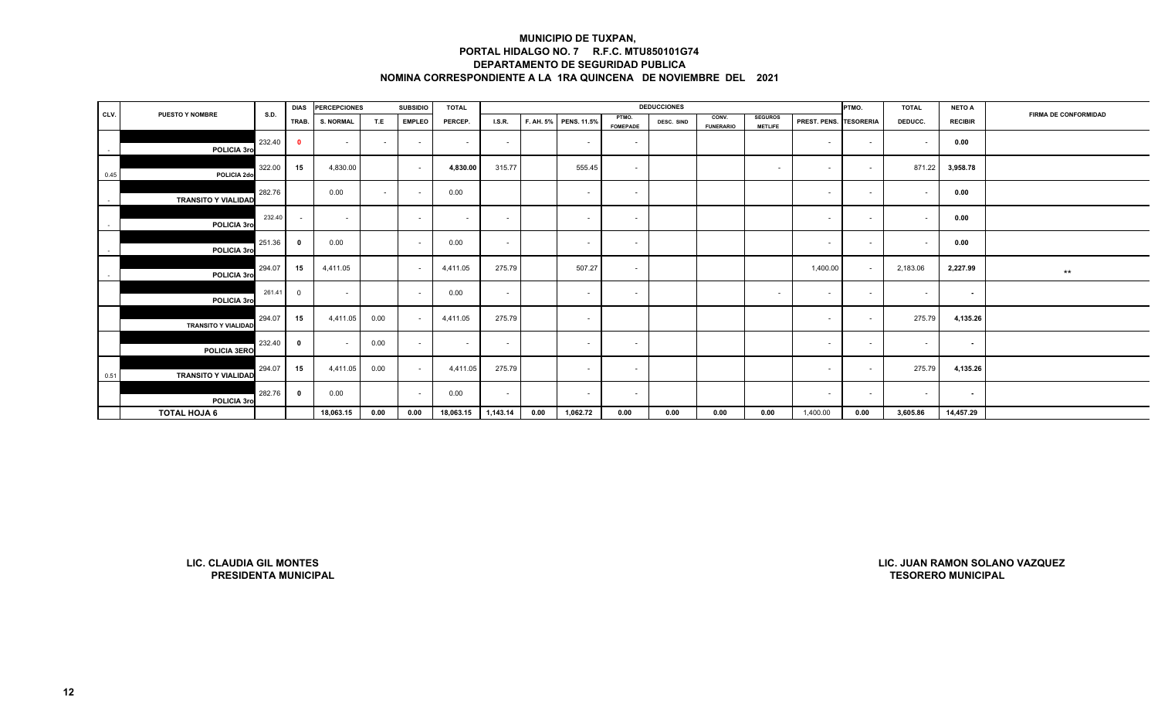|        |                                                               |             | <b>DIAS</b>             | <b>PERCEPCIONES</b> |        | <b>SUBSIDIO</b> | <b>TOTAL</b>             |          |           |                    |                          | <b>DEDUCCIONES</b> |                           |                                  |              | PTMO.            | <b>TOTAL</b>              | <b>NETO A</b>  |                                |
|--------|---------------------------------------------------------------|-------------|-------------------------|---------------------|--------|-----------------|--------------------------|----------|-----------|--------------------|--------------------------|--------------------|---------------------------|----------------------------------|--------------|------------------|---------------------------|----------------|--------------------------------|
| CLV.   | <b>PUESTO Y NOMBRE</b>                                        | <b>S.D.</b> | TRAB.                   | <b>S. NORMAL</b>    | T.E    | <b>EMPLEO</b>   | PERCEP.                  | LS.R.    | F. AH. 5% | <b>PENS. 11.5%</b> | PTMO.<br><b>FOMEPADE</b> | DESC. SIND         | CONV.<br><b>FUNERARIO</b> | <b>SEGUROS</b><br><b>METLIFE</b> | PREST. PENS. | <b>TESORERIA</b> | DEDUCC.                   | <b>RECIBIR</b> | <b>FIRMA DE CONFORMIDAD</b>    |
| $\sim$ | POLICIA 3rd                                                   | 232.40      | $\bullet$               | $\sim$              | $\sim$ | $\sim$          | $\overline{\phantom{a}}$ | $\sim$   |           | $\sim$             | $\sim$                   |                    |                           |                                  | $\sim$       | $\sim$           | $\sim$                    | 0.00           |                                |
| 0.45   | POLICIA 2do                                                   | 322.00      | 15                      | 4,830.00            |        | $\sim$          | 4,830.00                 | 315.77   |           | 555.45             | $\sim$                   |                    |                           | $\sim$                           | $\sim$       | $\sim$           | 871.22                    | 3,958.78       |                                |
| $\sim$ | <b>TRANSITO Y VIALIDAD</b>                                    | 282.76      |                         | 0.00                | $\sim$ | $\sim$          | 0.00                     |          |           | $\sim$             | $\sim$                   |                    |                           |                                  | $\sim$       | $\sim$           | $\sim$                    | 0.00           |                                |
| $\sim$ | POLICIA 3rd                                                   | 232.40      | $\sim$                  | $\sim$              |        | $\sim$          | $\overline{\phantom{a}}$ | $\sim$   |           | $\sim$             | $\sim$                   |                    |                           |                                  | $\sim$       | $\sim$           | $\sim$                    | 0.00           |                                |
| $\sim$ | POLICIA 3ro                                                   | 251.36      | $\overline{\mathbf{0}}$ | 0.00                |        | $\sim$          | 0.00                     | $\sim$   |           | $\sim$             | $\sim$                   |                    |                           |                                  | $\sim$       | $\sim$           | $\sim$                    | 0.00           |                                |
| $\sim$ | POLICIA 3ro                                                   | 294.07      | 15                      | 4,411.05            |        | $\sim$          | 4,411.05                 | 275.79   |           | 507.27             | $\sim$                   |                    |                           |                                  | 1,400.00     | $\sim$           | 2,183.06                  | 2,227.99       | $***$                          |
|        | POLICIA 3ro                                                   | 261.41      | $\overline{0}$          | $\sim$              |        | $\sim$          | 0.00                     | $\sim$   |           | $\sim$             | $\sim$                   |                    |                           | $\sim$                           | $\sim$       | $\sim$           | $\sim$                    | $\sim$         |                                |
|        | <b>TRANSITO Y VIALIDAD</b>                                    | 294.07      | 15                      | 4,411.05            | 0.00   | $\sim$          | 4,411.05                 | 275.79   |           | $\sim$             |                          |                    |                           |                                  | $\sim$       | $\sim$           | 275.79                    | 4,135.26       |                                |
|        | <b>POLICIA 3ERO</b>                                           | 232.40      | $\overline{\mathbf{0}}$ | $\sim$              | 0.00   | $\sim$          | $\sim$                   | $\sim$   |           | $\sim$             | $\sim$                   |                    |                           |                                  | $\sim$       | $\sim$           | $\sim$                    | $\sim$         |                                |
| 0.51   | <b>TRANSITO Y VIALIDAD</b>                                    | 294.07      | 15                      | 4,411.05            | 0.00   | $\sim$          | 4,411.05                 | 275.79   |           | $\sim$             | $\sim$                   |                    |                           |                                  | $\sim$       | $\sim$           | 275.79                    | 4,135.26       |                                |
|        | POLICIA 3ro                                                   | 282.76      | $\overline{\mathbf{0}}$ | 0.00                |        | $\sim$          | 0.00                     | $\sim$   |           | $\sim$             | $\sim$                   |                    |                           |                                  | $\sim$       | $\sim$           | $\sim$                    | $\sim$         |                                |
|        | <b>TOTAL HOJA 6</b>                                           |             |                         | 18,063.15           | 0.00   | 0.00            | 18,063.15                | 1,143.14 | 0.00      | 1,062.72           | 0.00                     | 0.00               | 0.00                      | 0.00                             | 1,400.00     | 0.00             | 3,605.86                  | 14,457.29      |                                |
|        |                                                               |             |                         |                     |        |                 |                          |          |           |                    |                          |                    |                           |                                  |              |                  |                           |                |                                |
|        | <b>LIC. CLAUDIA GIL MONTES</b><br><b>PRESIDENTA MUNICIPAL</b> |             |                         |                     |        |                 |                          |          |           |                    |                          |                    |                           |                                  |              |                  | <b>TESORERO MUNICIPAL</b> |                | LIC. JUAN RAMON SOLANO VAZQUEZ |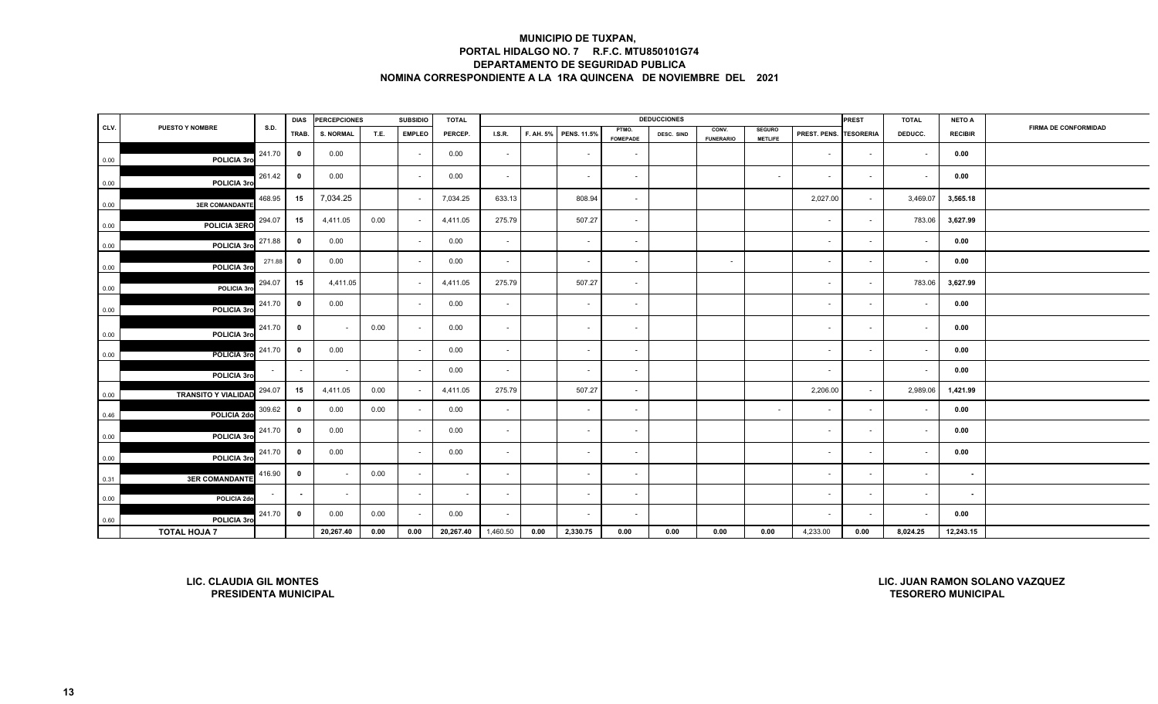|      |                                                               |             | <b>DIAS</b>             | <b>PERCEPCIONES</b> |      | <b>SUBSIDIO</b>          | <b>TOTAL</b> |          |      |                       |                          | <b>DEDUCCIONES</b> |                           |                                 |              | PREST                    | <b>TOTAL</b>              | <b>NETO A</b>  |                                |
|------|---------------------------------------------------------------|-------------|-------------------------|---------------------|------|--------------------------|--------------|----------|------|-----------------------|--------------------------|--------------------|---------------------------|---------------------------------|--------------|--------------------------|---------------------------|----------------|--------------------------------|
| CLV. | <b>PUESTO Y NOMBRE</b>                                        | <b>S.D.</b> | TRAB.                   | <b>S. NORMAL</b>    | T.E. | <b>EMPLEO</b>            | PERCEP.      | I.S.R.   |      | F. AH. 5% PENS. 11.5% | PTMO.<br><b>FOMEPADE</b> | DESC. SIND         | CONV.<br><b>FUNERARIO</b> | <b>SEGURO</b><br><b>METLIFE</b> | PREST. PENS. | <b>TESORERIA</b>         | DEDUCC.                   | <b>RECIBIR</b> | <b>FIRMA DE CONFORMIDAD</b>    |
| 0.00 | POLICIA 3ro                                                   | 241.70      | $\mathbf{0}$            | 0.00                |      | $\sim$                   | 0.00         | $\sim$   |      | $\sim$                | $\overline{\phantom{a}}$ |                    |                           |                                 | $\sim$       | $\sim$                   | $\sim$                    | 0.00           |                                |
| 0.00 | POLICIA 3ro                                                   | 261.42      | $\mathbf{0}$            | 0.00                |      | $\sim$                   | 0.00         | $\sim$   |      | $\sim$                | $\sim$                   |                    |                           | $\sim$                          | $\sim$       | $\sim$                   | $\sim$                    | 0.00           |                                |
| 0.00 | <b>3ER COMANDANTE</b>                                         | 468.95      | 15                      | 7,034.25            |      |                          | 7,034.25     | 633.13   |      | 808.94                | $\sim$                   |                    |                           |                                 | 2,027.00     | $\sim$                   | 3,469.07                  | 3,565.18       |                                |
| 0.00 | <b>POLICIA 3ERO</b>                                           | 294.07      | 15                      | 4,411.05            | 0.00 |                          | 4,411.05     | 275.79   |      | 507.27                | $\sim$                   |                    |                           |                                 | $\sim$       | $\sim$                   | 783.06                    | 3,627.99       |                                |
| 0.00 | POLICIA 3ro                                                   | 271.88      | $\mathbf{0}$            | 0.00                |      | $\overline{\phantom{a}}$ | 0.00         | $\sim$   |      | $\sim$                | $\overline{\phantom{a}}$ |                    |                           |                                 | $\sim$       |                          |                           | 0.00           |                                |
| 0.00 | POLICIA 3ro                                                   | 271.88      | $\mathbf{0}$            | 0.00                |      | $\sim$                   | 0.00         | $\sim$   |      | $\sim$                | $\sim$                   |                    | $\sim$                    |                                 | $\sim$       | $\sim$                   | $\sim$                    | 0.00           |                                |
| 0.00 | POLICIA 3rd                                                   | 294.07      | 15                      | 4,411.05            |      |                          | 4,411.05     | 275.79   |      | 507.27                | $\omega$                 |                    |                           |                                 | $\sim$       | $\sim$                   | 783.06                    | 3,627.99       |                                |
| 0.00 | POLICIA 3ro                                                   | 241.70      | $\mathbf{0}$            | 0.00                |      | $\sim$                   | 0.00         | $\sim$   |      | $\sim$                | $\sim$                   |                    |                           |                                 | $\sim$       | $\blacksquare$           | $\sim$                    | 0.00           |                                |
| 0.00 | POLICIA 3rd                                                   | 241.70      | $\mathbf{0}$            |                     | 0.00 | $\sim$                   | 0.00         | $\sim$   |      | $\sim$                | $\sim$                   |                    |                           |                                 | $\sim$       | $\sim$                   | $\sim$                    | 0.00           |                                |
| 0.00 | POLICIA 3ro                                                   | 241.70      | $\overline{\mathbf{0}}$ | 0.00                |      | $\sim$                   | 0.00         | $\sim$   |      | $\sim$                | $\sim$                   |                    |                           |                                 | $\sim$       | $\sim$                   | $\sim$                    | 0.00           |                                |
|      | POLICIA 3ro                                                   |             |                         |                     |      | $\sim$                   | 0.00         | $\sim$   |      | $\sim$                | $\sim$                   |                    |                           |                                 | $\sim$       |                          | $\sim$                    | 0.00           |                                |
| 0.00 | <b>TRANSITO Y VIALIDAD</b>                                    | 294.07      | 15                      | 4,411.05            | 0.00 |                          | 4,411.05     | 275.79   |      | 507.27                | $\blacksquare$           |                    |                           |                                 | 2,206.00     | $\sim$                   | 2,989.06                  | 1,421.99       |                                |
| 0.46 | POLICIA 2do                                                   | 309.62      | $\mathbf{0}$            | 0.00                | 0.00 |                          | 0.00         | $\sim$   |      | $\sim$                | $\overline{\phantom{a}}$ |                    |                           | $\sim$                          | $\sim$       | $\overline{\phantom{a}}$ | $\sim$                    | 0.00           |                                |
| 0.00 | POLICIA 3ro                                                   | 241.70      | $\mathbf{0}$            | 0.00                |      | $\sim$                   | 0.00         | $\sim$   |      | $\sim$                | $\overline{\phantom{a}}$ |                    |                           |                                 | $\sim$       | $\overline{\phantom{a}}$ | $\sim$                    | 0.00           |                                |
| 0.00 | POLICIA 3rd                                                   | 241.70      | $\mathbf{0}$            | 0.00                |      |                          | 0.00         | $\sim$   |      | $\sim$                | $\blacksquare$           |                    |                           |                                 | $\sim$       | $\sim$                   |                           | 0.00           |                                |
| 0.31 | <b>3ER COMANDANTE</b>                                         | 416.90      | $\mathbf{0}$            |                     | 0.00 | $\sim$                   | $\sim$       | $\sim$   |      | $\sim$                | $\sim$                   |                    |                           |                                 | $\sim$       | $\blacksquare$           | $\sim$                    | $\sim$         |                                |
| 0.00 | POLICIA 2do                                                   |             |                         | $\sim$              |      | $\sim$                   | $\sim$       | $\sim$   |      | $\sim$                | $\sim$                   |                    |                           |                                 | $\sim$       | $\sim$                   | $\sim$                    | $\sim$         |                                |
| 0.60 | POLICIA 3rd                                                   | 241.70      | $\mathbf{0}$            | 0.00                | 0.00 |                          | 0.00         | $\sim$   |      | $\sim$                | $\overline{\phantom{a}}$ |                    |                           |                                 |              |                          |                           | 0.00           |                                |
|      | <b>TOTAL HOJA 7</b>                                           |             |                         | 20,267.40           | 0.00 | 0.00                     | 20,267.40    | 1,460.50 | 0.00 | 2,330.75              | 0.00                     | 0.00               | 0.00                      | 0.00                            | 4,233.00     | 0.00                     | 8,024.25                  | 12,243.15      |                                |
|      | <b>LIC. CLAUDIA GIL MONTES</b><br><b>PRESIDENTA MUNICIPAL</b> |             |                         |                     |      |                          |              |          |      |                       |                          |                    |                           |                                 |              |                          | <b>TESORERO MUNICIPAL</b> |                | LIC. JUAN RAMON SOLANO VAZQUEZ |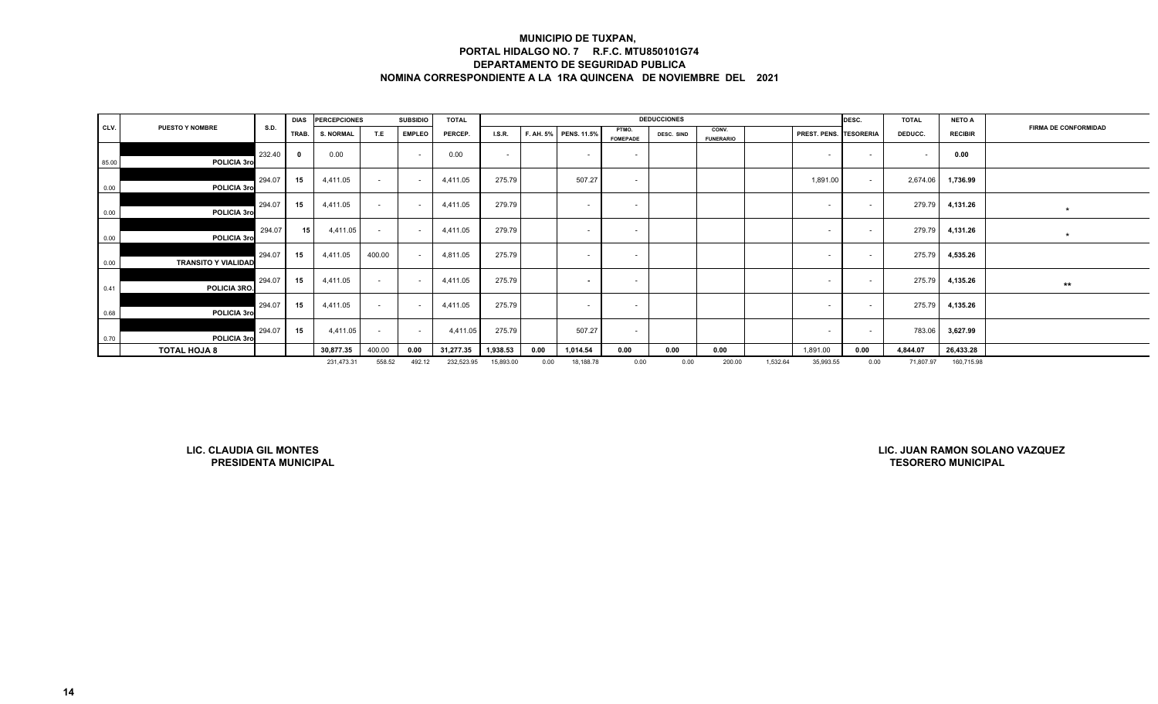|       |                            |        | <b>DIAS</b> | <b>PERCEPCIONES</b> |        | <b>SUBSIDIO</b> | <b>TOTAL</b> |               |      |                       |                          | <b>DEDUCCIONES</b> |                           |          |                               | DESC.          | <b>TOTAL</b> | <b>NETO A</b>  |                             |
|-------|----------------------------|--------|-------------|---------------------|--------|-----------------|--------------|---------------|------|-----------------------|--------------------------|--------------------|---------------------------|----------|-------------------------------|----------------|--------------|----------------|-----------------------------|
| CLV.  | <b>PUESTO Y NOMBRE</b>     | S.D.   | TRAB.       | <b>S. NORMAL</b>    | T.E    | <b>EMPLEO</b>   | PERCEP.      | <b>I.S.R.</b> |      | F. AH. 5% PENS. 11.5% | PTMO.<br><b>FOMEPADE</b> | DESC. SIND         | CONV.<br><b>FUNERARIO</b> |          | <b>PREST. PENS. TESORERIA</b> |                | DEDUCC.      | <b>RECIBIR</b> | <b>FIRMA DE CONFORMIDAD</b> |
| 85.00 | POLICIA 3ro                | 232.40 |             | 0.00                |        | $\sim$          | 0.00         | $\sim$        |      | <b>CONTRACTOR</b>     | $\sim$                   |                    |                           |          |                               | $\overline{a}$ |              | 0.00           |                             |
| 0.00  | POLICIA 3ro                | 294.07 | 15          | 4,411.05            | $\sim$ |                 | 4,411.05     | 275.79        |      | 507.27                | $\sim$                   |                    |                           |          | 1,891.00                      | $\sim$         | 2,674.06     | 1,736.99       |                             |
| 0.00  | POLICIA 3ro                | 294.07 | 15          | 4,411.05            | $\sim$ | $\sim$          | 4,411.05     | 279.79        |      | $\sim$                | $\sim$                   |                    |                           |          | $\sim$                        | $\sim$         | 279.79       | 4,131.26       | $\star$                     |
| 0.00  | POLICIA 3ro                | 294.07 | 15          | 4,411.05            | $\sim$ |                 | 4,411.05     | 279.79        |      | $\sim$                | $\overline{\phantom{a}}$ |                    |                           |          |                               | $\sim$         | 279.79       | 4,131.26       | $\star$                     |
| 0.00  | <b>TRANSITO Y VIALIDAD</b> | 294.07 | 15          | 4,411.05            | 400.00 |                 | 4,811.05     | 275.79        |      | $\sim$                | $\sim$                   |                    |                           |          | <b>CONTRACTOR</b>             | $\sim$         | 275.79       | 4,535.26       |                             |
| 0.41  | POLICIA 3RO.               | 294.07 | 15          | 4,411.05            | $\sim$ |                 | 4,411.05     | 275.79        |      | $\sim$                | $\sim$                   |                    |                           |          | $\sim$                        | $\sim$         | 275.79       | 4,135.26       | $***$                       |
| 0.68  | POLICIA 3ro                | 294.07 | 15          | 4,411.05            | $\sim$ |                 | 4,411.05     | 275.79        |      | $\sim$                | $\sim$                   |                    |                           |          |                               |                | 275.79       | 4,135.26       |                             |
| 0.70  | POLICIA 3ro                | 294.07 | 15          | 4,411.05            | $\sim$ | $\sim$          | 4,411.05     | 275.79        |      | 507.27                | $\sim$                   |                    |                           |          | <b>CONTRACTOR</b>             | $\sim$         | 783.06       | 3,627.99       |                             |
|       | <b>TOTAL HOJA 8</b>        |        |             | 30,877.35           | 400.00 | 0.00            | 31,277.35    | 1,938.53      | 0.00 | 1,014.54              | 0.00                     | 0.00               | 0.00                      |          | 1,891.00                      | 0.00           | 4,844.07     | 26,433.28      |                             |
|       |                            |        |             | 231,473.31          | 558.52 | 492.12          | 232,523.95   | 15,893.00     | 0.00 | 18,188.78             | 0.00                     | 0.00               | 200.00                    | 1,532.64 | 35,993.55                     | 0.00           | 71,807.97    | 160,715.98     |                             |

**LIC. CLAUDIA GIL MONTESPRESIDENTA MUNICIPAL**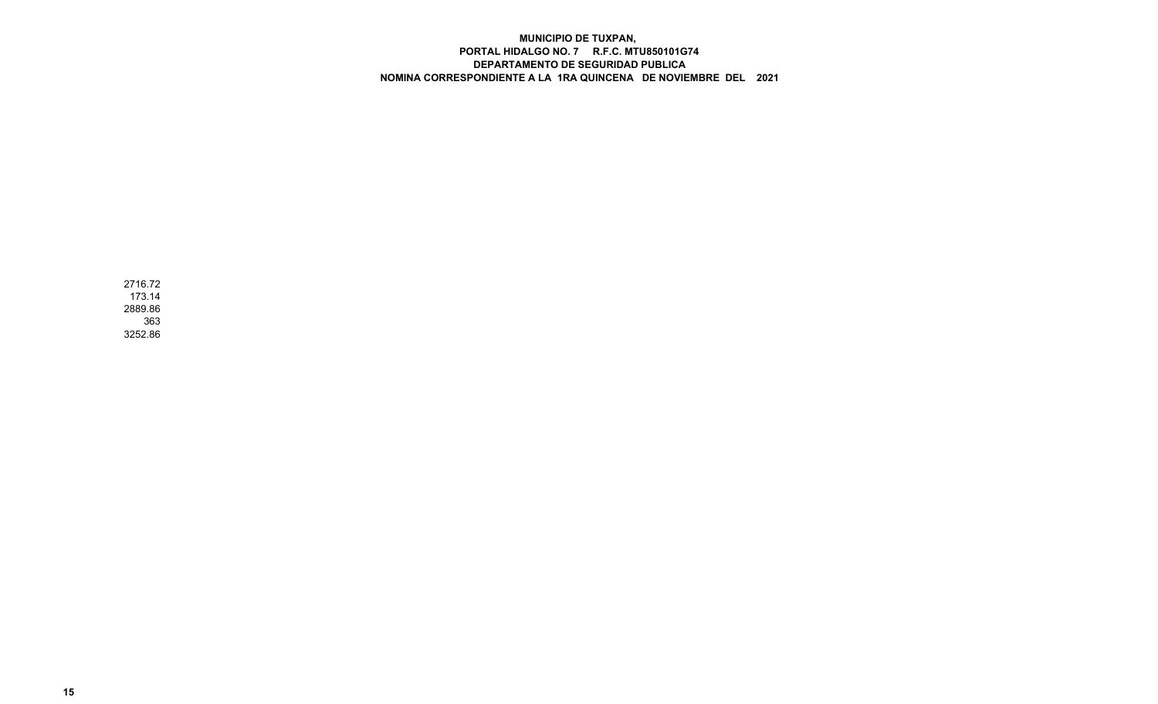2716.72 173.14 2889.86 3633252.86